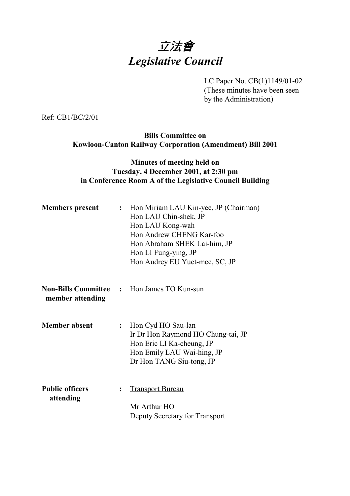# 立法會 *Legislative Council*

LC Paper No. CB(1)1149/01-02

(These minutes have been seen by the Administration)

Ref: CB1/BC/2/01

**Bills Committee on Kowloon-Canton Railway Corporation (Amendment) Bill 2001**

#### **Minutes of meeting held on Tuesday, 4 December 2001, at 2:30 pm in Conference Room A of the Legislative Council Building**

| <b>Members</b> present              |                | : Hon Miriam LAU Kin-yee, JP (Chairman)<br>Hon LAU Chin-shek, JP<br>Hon LAU Kong-wah<br>Hon Andrew CHENG Kar-foo<br>Hon Abraham SHEK Lai-him, JP<br>Hon LI Fung-ying, JP<br>Hon Audrey EU Yuet-mee, SC, JP |
|-------------------------------------|----------------|------------------------------------------------------------------------------------------------------------------------------------------------------------------------------------------------------------|
| member attending                    |                | <b>Non-Bills Committee : Hon James TO Kun-sun</b>                                                                                                                                                          |
| <b>Member absent</b>                |                | : Hon Cyd HO Sau-lan<br>Ir Dr Hon Raymond HO Chung-tai, JP<br>Hon Eric LI Ka-cheung, JP<br>Hon Emily LAU Wai-hing, JP<br>Dr Hon TANG Siu-tong, JP                                                          |
| <b>Public officers</b><br>attending | $\ddot{\cdot}$ | <b>Transport Bureau</b><br>Mr Arthur HO<br>Deputy Secretary for Transport                                                                                                                                  |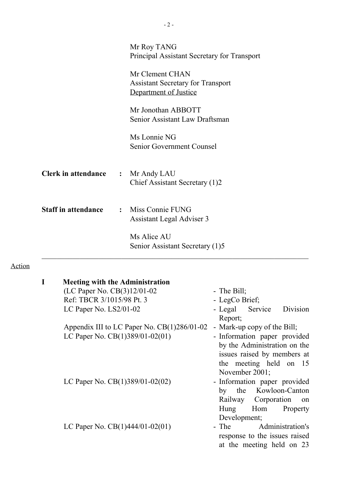|                                          | Mr Roy TANG<br>Principal Assistant Secretary for Transport                           |
|------------------------------------------|--------------------------------------------------------------------------------------|
|                                          | Mr Clement CHAN<br><b>Assistant Secretary for Transport</b><br>Department of Justice |
|                                          | Mr Jonothan ABBOTT<br>Senior Assistant Law Draftsman                                 |
|                                          | Ms Lonnie NG<br>Senior Government Counsel                                            |
| <b>Clerk in attendance : Mr Andy LAU</b> | Chief Assistant Secretary (1)2                                                       |
| <b>Staff in attendance</b>               | : Miss Connie FUNG<br>Assistant Legal Adviser 3                                      |
|                                          | Ms Alice AU<br>Senior Assistant Secretary (1)5                                       |

## Action

| <b>Meeting with the Administration</b>        |                                                                                                                                      |
|-----------------------------------------------|--------------------------------------------------------------------------------------------------------------------------------------|
| (LC Paper No. CB(3)12/01-02                   | - The Bill;                                                                                                                          |
| Ref: TBCR 3/1015/98 Pt. 3                     | - LegCo Brief;                                                                                                                       |
| LC Paper No. LS2/01-02                        | - Legal Service<br>Division<br>Report;                                                                                               |
| Appendix III to LC Paper No. $CB(1)286/01-02$ | - Mark-up copy of the Bill;                                                                                                          |
| LC Paper No. CB(1)389/01-02(01)               | - Information paper provided<br>by the Administration on the<br>issues raised by members at                                          |
| LC Paper No. $CB(1)389/01-02(02)$             | the meeting held on 15<br>November $2001$ ;<br>- Information paper provided<br>the Kowloon-Canton<br>by<br>Railway Corporation<br>on |
| LC Paper No. $CB(1)444/01-02(01)$             | Hung<br>Hom Property<br>Development;<br>- The Administration's<br>response to the issues raised<br>at the meeting held on 23         |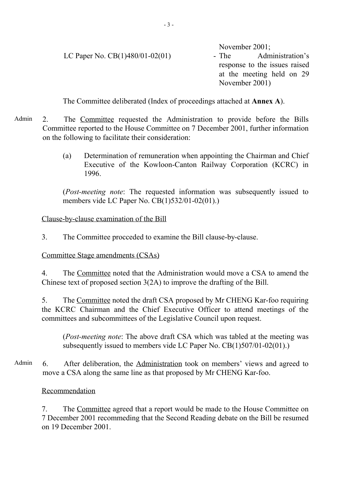|                                   | November $2001$ ;             |
|-----------------------------------|-------------------------------|
| LC Paper No. $CB(1)480/01-02(01)$ | Administration's<br>$-$ The   |
|                                   | response to the issues raised |
|                                   | at the meeting held on 29     |
|                                   | November 2001)                |
|                                   |                               |

The Committee deliberated (Index of proceedings attached at **Annex A**).

Admin 2. The Committee requested the Administration to provide before the Bills Committee reported to the House Committee on 7 December 2001, further information on the following to facilitate their consideration:

> (a) Determination of remuneration when appointing the Chairman and Chief Executive of the Kowloon-Canton Railway Corporation (KCRC) in 1996.

> (*Post-meeting note*: The requested information was subsequently issued to members vide LC Paper No. CB(1)532/01-02(01).)

Clause-by-clause examination of the Bill

3. The Committee procceded to examine the Bill clause-by-clause.

Committee Stage amendments (CSAs)

4. The Committee noted that the Administration would move a CSA to amend the Chinese text of proposed section 3(2A) to improve the drafting of the Bill.

5. The Committee noted the draft CSA proposed by Mr CHENG Kar-foo requiring the KCRC Chairman and the Chief Executive Officer to attend meetings of the committees and subcommittees of the Legislative Council upon request.

(*Post-meeting note*: The above draft CSA which was tabled at the meeting was subsequently issued to members vide LC Paper No. CB(1)507/01-02(01).)

Admin 6. After deliberation, the Administration took on members' views and agreed to move a CSA along the same line as that proposed by Mr CHENG Kar-foo.

Recommendation

7. The Committee agreed that a report would be made to the House Committee on 7 December 2001 recommeding that the Second Reading debate on the Bill be resumed on 19 December 2001.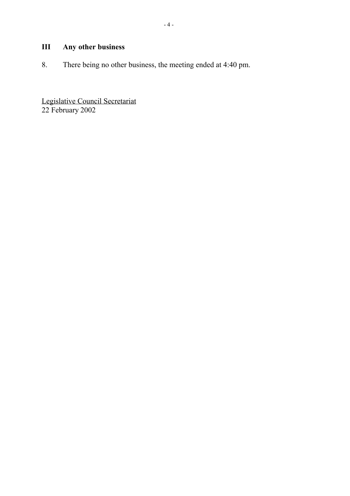## **III Any other business**

8. There being no other business, the meeting ended at 4:40 pm.

Legislative Council Secretariat 22 February 2002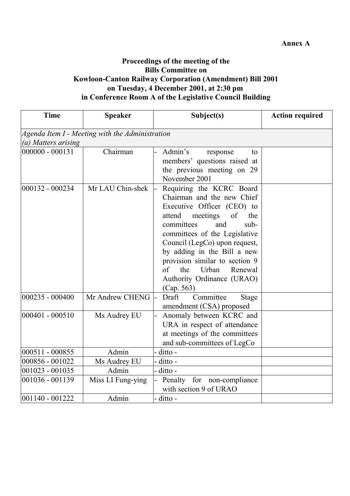#### **Proceedings of the meeting of the Bills Committee on Kowloon-Canton Railway Corporation (Amendment) Bill 2001 on Tuesday, 4 December 2001, at 2:30 pm in Conference Room A of the Legislative Council Building**

| <b>Time</b>         | <b>Speaker</b>                                  | Subject(s)                                                                                                                                                                                                                                                                                                                                                                     | <b>Action required</b> |
|---------------------|-------------------------------------------------|--------------------------------------------------------------------------------------------------------------------------------------------------------------------------------------------------------------------------------------------------------------------------------------------------------------------------------------------------------------------------------|------------------------|
|                     | Agenda Item I - Meeting with the Administration |                                                                                                                                                                                                                                                                                                                                                                                |                        |
| (a) Matters arising |                                                 |                                                                                                                                                                                                                                                                                                                                                                                |                        |
| $000000 - 000131$   | Chairman                                        | Admin's<br>response<br>to<br>members' questions raised at<br>the previous meeting on 29<br>November 2001                                                                                                                                                                                                                                                                       |                        |
| 000132 - 000234     | Mr LAU Chin-shek                                | Requiring the KCRC Board<br>Chairman and the new Chief<br>Executive Officer (CEO) to<br>meetings<br>attend<br>of<br>the<br>and<br>committees<br>$sub-$<br>committees of the Legislative<br>Council (LegCo) upon request,<br>by adding in the Bill a new<br>provision similar to section 9<br>$\sigma$ f<br>the<br>Urban<br>Renewal<br>Authority Ordinance (URAO)<br>(Cap. 563) |                        |
| 000235 - 000400     | Mr Andrew CHENG                                 | Draft<br>Committee<br>Stage<br>amendment (CSA) proposed                                                                                                                                                                                                                                                                                                                        |                        |
| 000401 - 000510     | Ms Audrey EU                                    | Anomaly between KCRC and<br>URA in respect of attendance<br>at meetings of the committees<br>and sub-committees of LegCo                                                                                                                                                                                                                                                       |                        |
| 000511 - 000855     | Admin                                           | - ditto -                                                                                                                                                                                                                                                                                                                                                                      |                        |
| 000856 - 001022     | Ms Audrey EU                                    | ditto -                                                                                                                                                                                                                                                                                                                                                                        |                        |
| 001023 - 001035     | Admin                                           | - ditto -                                                                                                                                                                                                                                                                                                                                                                      |                        |
| 001036 - 001139     | Miss LI Fung-ying                               | Penalty for non-compliance<br>with section 9 of URAO                                                                                                                                                                                                                                                                                                                           |                        |
| $ 001140 - 001222$  | Admin                                           | - ditto -                                                                                                                                                                                                                                                                                                                                                                      |                        |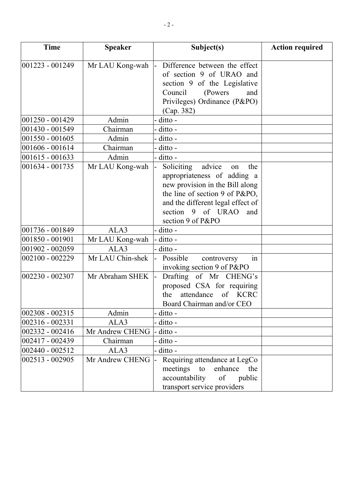| <b>Time</b>         | <b>Speaker</b>   | Subject(s)                                                                                                                                                                                                                  | <b>Action required</b> |
|---------------------|------------------|-----------------------------------------------------------------------------------------------------------------------------------------------------------------------------------------------------------------------------|------------------------|
| $ 001223 - 001249 $ | Mr LAU Kong-wah  | Difference between the effect<br>l-<br>of section 9 of URAO and<br>section 9 of the Legislative<br>Council<br>(Powers)<br>and<br>Privileges) Ordinance (P&PO)<br>(Cap. 382)                                                 |                        |
| 001250 - 001429     | Admin            | - ditto -                                                                                                                                                                                                                   |                        |
| 001430 - 001549     | Chairman         | - ditto -                                                                                                                                                                                                                   |                        |
| 001550 - 001605     | Admin            | - ditto -                                                                                                                                                                                                                   |                        |
| 001606 - 001614     | Chairman         | - ditto -                                                                                                                                                                                                                   |                        |
| $001615 - 001633$   | Admin            | - ditto -                                                                                                                                                                                                                   |                        |
| 001634 - 001735     | Mr LAU Kong-wah  | Soliciting<br>advice<br>the<br>on<br>appropriateness of adding a<br>new provision in the Bill along<br>the line of section 9 of P&PO,<br>and the different legal effect of<br>section 9 of URAO<br>and<br>section 9 of P&PO |                        |
| 001736 - 001849     | ALA3             | - ditto -                                                                                                                                                                                                                   |                        |
| 001850 - 001901     | Mr LAU Kong-wah  | - ditto -                                                                                                                                                                                                                   |                        |
| 001902 - 002059     | ALA3             | - ditto -                                                                                                                                                                                                                   |                        |
| 002100 - 002229     | Mr LAU Chin-shek | in<br>Possible<br>controversy<br>invoking section 9 of P&PO                                                                                                                                                                 |                        |
| $ 002230 - 002307$  | Mr Abraham SHEK  | Drafting of Mr CHENG's<br>proposed CSA for requiring<br>attendance<br>of KCRC<br>the<br>Board Chairman and/or CEO                                                                                                           |                        |
| 002308 - 002315     | Admin            | - ditto -                                                                                                                                                                                                                   |                        |
| 002316 - 002331     | ALA3             | - ditto -                                                                                                                                                                                                                   |                        |
| 002332 - 002416     | Mr Andrew CHENG  | - ditto -                                                                                                                                                                                                                   |                        |
| 002417 - 002439     | Chairman         | - ditto -                                                                                                                                                                                                                   |                        |
| 002440 - 002512     | ALA3             | - ditto -                                                                                                                                                                                                                   |                        |
| 002513 - 002905     | Mr Andrew CHENG  | Requiring attendance at LegCo<br>meetings<br>enhance<br>to<br>the<br>accountability<br>of<br>public<br>transport service providers                                                                                          |                        |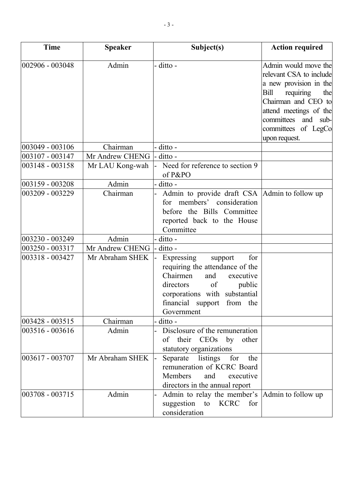| <b>Time</b>     | <b>Speaker</b>  | Subject(s)                                                                                                                                                                                                | <b>Action required</b>                                                                                                                                                                                                      |
|-----------------|-----------------|-----------------------------------------------------------------------------------------------------------------------------------------------------------------------------------------------------------|-----------------------------------------------------------------------------------------------------------------------------------------------------------------------------------------------------------------------------|
| 002906 - 003048 | Admin           | - ditto -                                                                                                                                                                                                 | Admin would move the<br>relevant CSA to include<br>a new provision in the<br>Bill<br>requiring<br>the<br>Chairman and CEO to<br>attend meetings of the<br>committees<br>and<br>sub-<br>committees of LegCo<br>upon request. |
| 003049 - 003106 | Chairman        | - ditto -                                                                                                                                                                                                 |                                                                                                                                                                                                                             |
| 003107 - 003147 | Mr Andrew CHENG | - ditto -                                                                                                                                                                                                 |                                                                                                                                                                                                                             |
| 003148 - 003158 | Mr LAU Kong-wah | Need for reference to section 9<br>of P&PO                                                                                                                                                                |                                                                                                                                                                                                                             |
| 003159 - 003208 | Admin           | - ditto -                                                                                                                                                                                                 |                                                                                                                                                                                                                             |
| 003209 - 003229 | Chairman        | Admin to provide draft CSA Admin to follow up<br>members' consideration<br>for<br>before the Bills Committee<br>reported back to the House<br>Committee                                                   |                                                                                                                                                                                                                             |
| 003230 - 003249 | Admin           | - ditto -                                                                                                                                                                                                 |                                                                                                                                                                                                                             |
| 003250 - 003317 | Mr Andrew CHENG | ditto -                                                                                                                                                                                                   |                                                                                                                                                                                                                             |
| 003318 - 003427 | Mr Abraham SHEK | Expressing<br>for<br>support<br>requiring the attendance of the<br>Chairmen<br>executive<br>and<br>directors<br>of<br>public<br>corporations with substantial<br>financial support from the<br>Government |                                                                                                                                                                                                                             |
| 003428 - 003515 | Chairman        | ditto -                                                                                                                                                                                                   |                                                                                                                                                                                                                             |
| 003516 - 003616 | Admin           | Disclosure of the remuneration<br>other<br>of their CEOs by<br>statutory organizations                                                                                                                    |                                                                                                                                                                                                                             |
| 003617 - 003707 | Mr Abraham SHEK | Separate listings<br>for the<br>remuneration of KCRC Board<br>Members<br>and<br>executive<br>directors in the annual report                                                                               |                                                                                                                                                                                                                             |
| 003708 - 003715 | Admin           | Admin to relay the member's  Admin to follow up<br>suggestion to KCRC<br>for<br>consideration                                                                                                             |                                                                                                                                                                                                                             |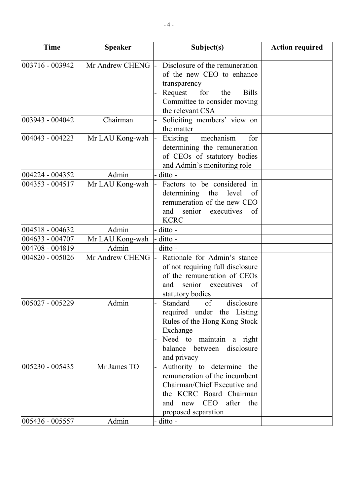| <b>Time</b>        | <b>Speaker</b>    | Subject(s)                                                                                                                                                                               | <b>Action required</b> |
|--------------------|-------------------|------------------------------------------------------------------------------------------------------------------------------------------------------------------------------------------|------------------------|
| 003716 - 003942    | Mr Andrew CHENG - | Disclosure of the remuneration<br>of the new CEO to enhance<br>transparency<br>Request<br>for<br><b>Bills</b><br>the<br>Committee to consider moving<br>the relevant CSA                 |                        |
| 003943 - 004042    | Chairman          | Soliciting members' view on<br>the matter                                                                                                                                                |                        |
| 004043 - 004223    | Mr LAU Kong-wah   | mechanism<br>Existing<br>for<br>determining the remuneration<br>of CEOs of statutory bodies<br>and Admin's monitoring role                                                               |                        |
| 004224 - 004352    | Admin             | - ditto -                                                                                                                                                                                |                        |
| 004353 - 004517    | Mr LAU Kong-wah   | Factors to be considered in<br>l-<br>determining the<br>level<br>of<br>remuneration of the new CEO<br>executives<br>of<br>and<br>senior<br><b>KCRC</b>                                   |                        |
| 004518 - 004632    | Admin             | - ditto -                                                                                                                                                                                |                        |
| 004633 - 004707    | Mr LAU Kong-wah   | - ditto -                                                                                                                                                                                |                        |
| 004708 - 004819    | Admin             | - ditto -                                                                                                                                                                                |                        |
| 004820 - 005026    | Mr Andrew CHENG   | Rationale for Admin's stance<br>of not requiring full disclosure<br>of the remuneration of CEOs<br>senior executives<br>and<br>of<br>statutory bodies                                    |                        |
| 005027 - 005229    | Admin             | of<br>disclosure<br>Standard<br>required under the Listing<br>Rules of the Hong Kong Stock<br>Exchange<br>Need to maintain a right<br>balance between disclosure<br>and privacy          |                        |
| 005230 - 005435    | Mr James TO       | Authority to determine the<br>$\vdash$<br>remuneration of the incumbent<br>Chairman/Chief Executive and<br>the KCRC Board Chairman<br>new CEO<br>after the<br>and<br>proposed separation |                        |
| $ 005436 - 005557$ | Admin             | - ditto -                                                                                                                                                                                |                        |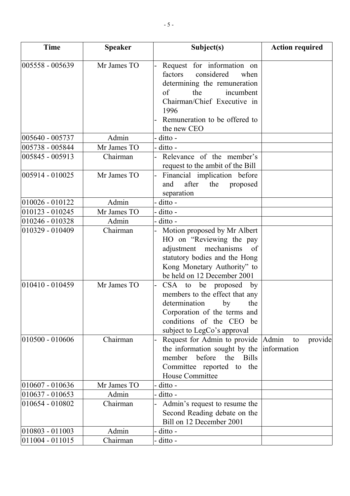| <b>Time</b>        | <b>Speaker</b> | Subject(s)                                                                                                                                                                                        | <b>Action required</b>                |
|--------------------|----------------|---------------------------------------------------------------------------------------------------------------------------------------------------------------------------------------------------|---------------------------------------|
| 005558 - 005639    | Mr James TO    | Request for information on<br>factors<br>considered<br>when<br>determining the remuneration                                                                                                       |                                       |
|                    |                | the<br>incumbent<br>of                                                                                                                                                                            |                                       |
|                    |                | Chairman/Chief Executive in<br>1996                                                                                                                                                               |                                       |
|                    |                | Remuneration to be offered to<br>the new CEO                                                                                                                                                      |                                       |
| 005640 - 005737    | Admin          | - ditto -                                                                                                                                                                                         |                                       |
| 005738 - 005844    | Mr James TO    | - ditto -                                                                                                                                                                                         |                                       |
| 005845 - 005913    | Chairman       | Relevance of the member's<br>$\overline{a}$<br>request to the ambit of the Bill                                                                                                                   |                                       |
| 005914 - 010025    | Mr James TO    | Financial implication before<br>$\overline{\phantom{a}}$<br>after<br>the<br>and<br>proposed<br>separation                                                                                         |                                       |
| 010026 - 010122    | Admin          | - ditto -                                                                                                                                                                                         |                                       |
| $010123 - 010245$  | Mr James TO    | ditto -                                                                                                                                                                                           |                                       |
| 010246 - 010328    | Admin          | - ditto -                                                                                                                                                                                         |                                       |
| 010329 - 010409    | Chairman       | Motion proposed by Mr Albert<br>HO on "Reviewing the pay<br>adjustment mechanisms<br><sub>of</sub><br>statutory bodies and the Hong<br>Kong Monetary Authority" to<br>be held on 12 December 2001 |                                       |
| $ 010410 - 010459$ | Mr James TO    | $CSA$ to<br>be proposed by<br>members to the effect that any<br>determination<br>the<br>by<br>Corporation of the terms and<br>conditions of the CEO be<br>subject to LegCo's approval             |                                       |
| 010500 - 010606    | Chairman       | Request for Admin to provide<br>the information sought by the<br>before<br><b>Bills</b><br>member<br>the<br>Committee reported to the<br>House Committee                                          | Admin<br>provide<br>to<br>information |
| 010607 - 010636    | Mr James TO    | ditto -                                                                                                                                                                                           |                                       |
| $010637 - 010653$  | Admin          | ditto -                                                                                                                                                                                           |                                       |
| 010654 - 010802    | Chairman       | Admin's request to resume the<br>Second Reading debate on the<br>Bill on 12 December 2001                                                                                                         |                                       |
| $ 010803 - 011003$ | Admin          | ditto -                                                                                                                                                                                           |                                       |
| 011004 - 011015    | Chairman       | - ditto -                                                                                                                                                                                         |                                       |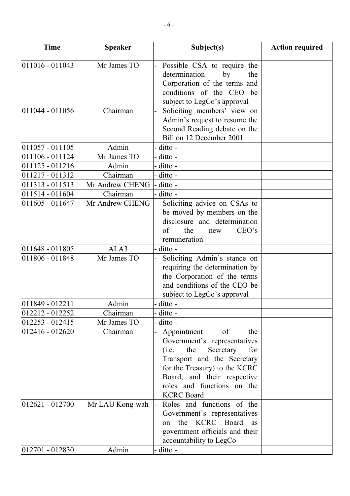| <b>Time</b>        | <b>Speaker</b>  | Subject(s)                                                | <b>Action required</b> |
|--------------------|-----------------|-----------------------------------------------------------|------------------------|
| $ 011016 - 011043$ | Mr James TO     |                                                           |                        |
|                    |                 | Possible CSA to require the<br>determination<br>by<br>the |                        |
|                    |                 | Corporation of the terms and                              |                        |
|                    |                 | conditions of the CEO be                                  |                        |
|                    |                 | subject to LegCo's approval                               |                        |
| $ 011044 - 011056$ | Chairman        | Soliciting members' view on                               |                        |
|                    |                 | Admin's request to resume the                             |                        |
|                    |                 | Second Reading debate on the                              |                        |
|                    |                 | Bill on 12 December 2001                                  |                        |
| $011057 - 011105$  | Admin           | - ditto -                                                 |                        |
| 011106 - 011124    | Mr James TO     | ditto -                                                   |                        |
| 011125 - 011216    | Admin           | ditto -                                                   |                        |
| 011217 - 011312    | Chairman        | - ditto -                                                 |                        |
| 011313 - 011513    | Mr Andrew CHENG | ditto -                                                   |                        |
| 011514 - 011604    | Chairman        | ditto -                                                   |                        |
| 011605 - 011647    | Mr Andrew CHENG | Soliciting advice on CSAs to                              |                        |
|                    |                 | be moved by members on the                                |                        |
|                    |                 | disclosure and determination                              |                        |
|                    |                 | of<br>CEO's<br>the<br>new                                 |                        |
|                    |                 | remuneration                                              |                        |
| $011648 - 011805$  | ALA3            | - ditto -                                                 |                        |
| 011806 - 011848    | Mr James TO     | Soliciting Admin's stance on                              |                        |
|                    |                 | requiring the determination by                            |                        |
|                    |                 | the Corporation of the terms                              |                        |
|                    |                 | and conditions of the CEO be                              |                        |
|                    |                 | subject to LegCo's approval                               |                        |
| $ 011849 - 012211$ | Admin           | - ditto -                                                 |                        |
| 012212 - 012252    | Chairman        | ditto -                                                   |                        |
| 012253 - 012415    | Mr James TO     | ditto -                                                   |                        |
| 012416 - 012620    | Chairman        | of<br>Appointment<br>the                                  |                        |
|                    |                 | Government's representatives                              |                        |
|                    |                 | the<br>Secretary<br>(i.e.<br>for                          |                        |
|                    |                 | Transport and the Secretary                               |                        |
|                    |                 | for the Treasury) to the KCRC                             |                        |
|                    |                 | Board, and their respective<br>roles and functions on the |                        |
|                    |                 | <b>KCRC</b> Board                                         |                        |
| $ 012621 - 012700$ | Mr LAU Kong-wah | Roles and functions of the                                |                        |
|                    |                 | Government's representatives                              |                        |
|                    |                 | the KCRC Board as<br>on                                   |                        |
|                    |                 | government officials and their                            |                        |
|                    |                 | accountability to LegCo                                   |                        |
| $ 012701 - 012830$ | Admin           | ditto -                                                   |                        |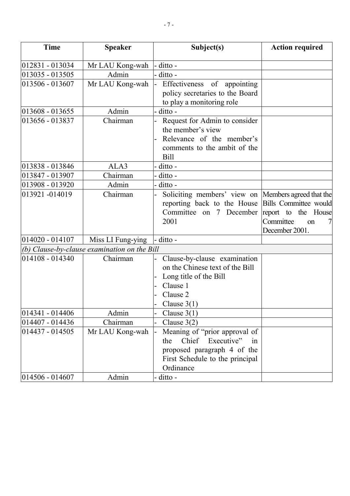| <b>Time</b>        | <b>Speaker</b>                               | Subject(s)                                                                                                                                    | <b>Action required</b>                                                            |
|--------------------|----------------------------------------------|-----------------------------------------------------------------------------------------------------------------------------------------------|-----------------------------------------------------------------------------------|
| $012831 - 013034$  | Mr LAU Kong-wah                              | - ditto -                                                                                                                                     |                                                                                   |
| 013035 - 013505    | Admin                                        | - ditto -                                                                                                                                     |                                                                                   |
| 013506 - 013607    | Mr LAU Kong-wah                              | Effectiveness of appointing<br>l-<br>policy secretaries to the Board<br>to play a monitoring role                                             |                                                                                   |
| 013608 - 013655    | Admin                                        | - ditto -                                                                                                                                     |                                                                                   |
| 013656 - 013837    | Chairman                                     | Request for Admin to consider<br>the member's view<br>Relevance of the member's<br>comments to the ambit of the<br><b>Bill</b>                |                                                                                   |
| 013838 - 013846    | ALA3                                         | - ditto -                                                                                                                                     |                                                                                   |
| 013847 - 013907    | Chairman                                     | - ditto -                                                                                                                                     |                                                                                   |
| 013908 - 013920    | Admin                                        | - ditto -                                                                                                                                     |                                                                                   |
| 013921 -014019     | Chairman                                     | Soliciting members' view on Members agreed that the<br>reporting back to the House<br>Committee on 7 December<br>2001                         | Bills Committee would<br>report to the House<br>Committee<br>on<br>December 2001. |
| 014020 - 014107    | Miss LI Fung-ying                            | - ditto -                                                                                                                                     |                                                                                   |
|                    | (b) Clause-by-clause examination on the Bill |                                                                                                                                               |                                                                                   |
| 014108 - 014340    | Chairman                                     | Clause-by-clause examination<br>on the Chinese text of the Bill<br>Long title of the Bill<br>Clause 1<br>Clause 2<br>Clause $3(1)$            |                                                                                   |
| $ 014341 - 014406$ | Admin                                        | Clause $3(1)$                                                                                                                                 |                                                                                   |
| 014407 - 014436    | Chairman                                     | Clause $3(2)$                                                                                                                                 |                                                                                   |
| 014437 - 014505    | Mr LAU Kong-wah                              | Meaning of "prior approval of<br>Chief Executive"<br>the<br>in<br>proposed paragraph 4 of the<br>First Schedule to the principal<br>Ordinance |                                                                                   |
| $014506 - 014607$  | Admin                                        | - ditto -                                                                                                                                     |                                                                                   |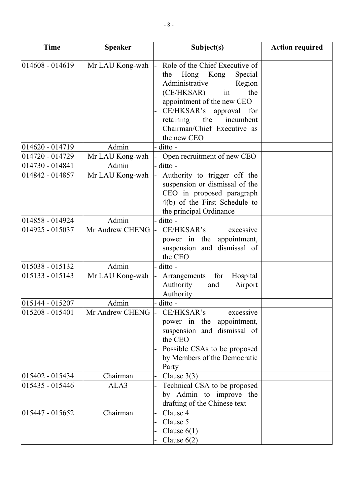| <b>Time</b>        | <b>Speaker</b>     | Subject(s)                                                                                                                                                                                                                                                                      | <b>Action required</b> |
|--------------------|--------------------|---------------------------------------------------------------------------------------------------------------------------------------------------------------------------------------------------------------------------------------------------------------------------------|------------------------|
| $ 014608 - 014619$ | Mr LAU Kong-wah    | Role of the Chief Executive of<br>$\mathsf{L}$<br>Special<br>Hong<br>Kong<br>the<br>Administrative<br>Region<br>(CE/HKSAR)<br>in<br>the<br>appointment of the new CEO<br>CE/HKSAR's approval for<br>the<br>retaining<br>incumbent<br>Chairman/Chief Executive as<br>the new CEO |                        |
| 014620 - 014719    | Admin              | - ditto -                                                                                                                                                                                                                                                                       |                        |
| $ 014720 - 014729$ | Mr LAU Kong-wah    | Open recruitment of new CEO                                                                                                                                                                                                                                                     |                        |
| 014730 - 014841    | Admin              | - ditto -                                                                                                                                                                                                                                                                       |                        |
| 014842 - 014857    | Mr LAU Kong-wah    | Authority to trigger off the<br>suspension or dismissal of the<br>CEO in proposed paragraph<br>4(b) of the First Schedule to<br>the principal Ordinance                                                                                                                         |                        |
| 014858 - 014924    | Admin              | - ditto -                                                                                                                                                                                                                                                                       |                        |
| 014925 - 015037    | Mr Andrew CHENG    | CE/HKSAR's<br>excessive<br>power in the appointment,<br>suspension and dismissal of<br>the CEO                                                                                                                                                                                  |                        |
| $015038 - 015132$  | Admin              | - ditto -                                                                                                                                                                                                                                                                       |                        |
| 015133 - 015143    | Mr LAU Kong-wah    | Hospital<br>for<br>Arrangements<br>Airport<br>Authority<br>and<br>Authority                                                                                                                                                                                                     |                        |
| $ 015144 - 015207$ | Admin              | - ditto -                                                                                                                                                                                                                                                                       |                        |
| $015208 - 015401$  | Mr Andrew CHENG  - | CE/HKSAR's<br>excessive<br>power in the<br>appointment,<br>suspension and dismissal of<br>the CEO<br>Possible CSAs to be proposed<br>by Members of the Democratic<br>Party                                                                                                      |                        |
| $ 015402 - 015434$ | Chairman           | Clause $3(3)$                                                                                                                                                                                                                                                                   |                        |
| 015435 - 015446    | ALA3               | Technical CSA to be proposed<br>by Admin to improve the<br>drafting of the Chinese text                                                                                                                                                                                         |                        |
| $ 015447 - 015652$ | Chairman           | Clause 4<br>Clause 5<br>Clause $6(1)$<br>Clause $6(2)$                                                                                                                                                                                                                          |                        |